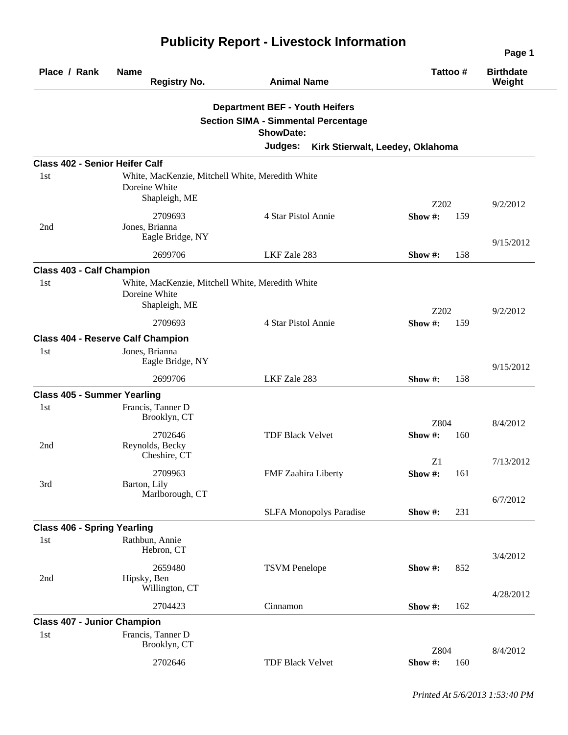| Place / Rank                          | <b>Name</b><br><b>Registry No.</b>                                | <b>Animal Name</b>                         | Tattoo#                          | <b>Birthdate</b><br>Weight |
|---------------------------------------|-------------------------------------------------------------------|--------------------------------------------|----------------------------------|----------------------------|
|                                       |                                                                   | <b>Department BEF - Youth Heifers</b>      |                                  |                            |
|                                       |                                                                   | <b>Section SIMA - Simmental Percentage</b> |                                  |                            |
|                                       |                                                                   | <b>ShowDate:</b>                           |                                  |                            |
|                                       |                                                                   | Judges:                                    | Kirk Stierwalt, Leedey, Oklahoma |                            |
| <b>Class 402 - Senior Heifer Calf</b> |                                                                   |                                            |                                  |                            |
| 1st                                   | White, MacKenzie, Mitchell White, Meredith White<br>Doreine White |                                            |                                  |                            |
|                                       | Shapleigh, ME                                                     |                                            | Z202                             | 9/2/2012                   |
|                                       | 2709693                                                           | 4 Star Pistol Annie                        | Show#:<br>159                    |                            |
| 2nd                                   | Jones, Brianna<br>Eagle Bridge, NY                                |                                            |                                  | 9/15/2012                  |
|                                       | 2699706                                                           | LKF Zale 283                               | Show #:<br>158                   |                            |
| <b>Class 403 - Calf Champion</b>      |                                                                   |                                            |                                  |                            |
| 1st                                   | White, MacKenzie, Mitchell White, Meredith White<br>Doreine White |                                            |                                  |                            |
|                                       | Shapleigh, ME                                                     |                                            | Z202                             | 9/2/2012                   |
|                                       | 2709693                                                           | 4 Star Pistol Annie                        | Show #:<br>159                   |                            |
|                                       | <b>Class 404 - Reserve Calf Champion</b>                          |                                            |                                  |                            |
| 1st                                   | Jones, Brianna<br>Eagle Bridge, NY                                |                                            |                                  | 9/15/2012                  |
|                                       | 2699706                                                           | LKF Zale 283                               | Show #:<br>158                   |                            |
| <b>Class 405 - Summer Yearling</b>    |                                                                   |                                            |                                  |                            |
| 1st                                   | Francis, Tanner D<br>Brooklyn, CT                                 |                                            | Z804                             |                            |
|                                       | 2702646                                                           | <b>TDF Black Velvet</b>                    | Show #:<br>160                   | 8/4/2012                   |
| 2nd                                   | Reynolds, Becky<br>Cheshire, CT                                   |                                            | Z1                               | 7/13/2012                  |
|                                       | 2709963                                                           | FMF Zaahira Liberty                        | Show #:<br>161                   |                            |
| 3rd                                   | Barton, Lily<br>Marlborough, CT                                   |                                            |                                  | 6/7/2012                   |
|                                       |                                                                   | <b>SLFA Monopolys Paradise</b>             | Show#:<br>231                    |                            |
| <b>Class 406 - Spring Yearling</b>    |                                                                   |                                            |                                  |                            |
| 1st                                   | Rathbun, Annie<br>Hebron, CT                                      |                                            |                                  |                            |
| 2nd                                   | 2659480<br>Hipsky, Ben<br>Willington, CT                          | <b>TSVM</b> Penelope                       | Show#:<br>852                    | 3/4/2012                   |
|                                       | 2704423                                                           | Cinnamon                                   | 162<br>Show #:                   | 4/28/2012                  |
| <b>Class 407 - Junior Champion</b>    |                                                                   |                                            |                                  |                            |
| 1st                                   | Francis, Tanner D<br>Brooklyn, CT                                 |                                            | Z804                             |                            |
|                                       | 2702646                                                           | <b>TDF Black Velvet</b>                    | Show #:<br>160                   | 8/4/2012                   |

## **Publicity Report - Livestock Information**

*Printed At 5/6/2013 1:53:40 PM*

**Page 1**